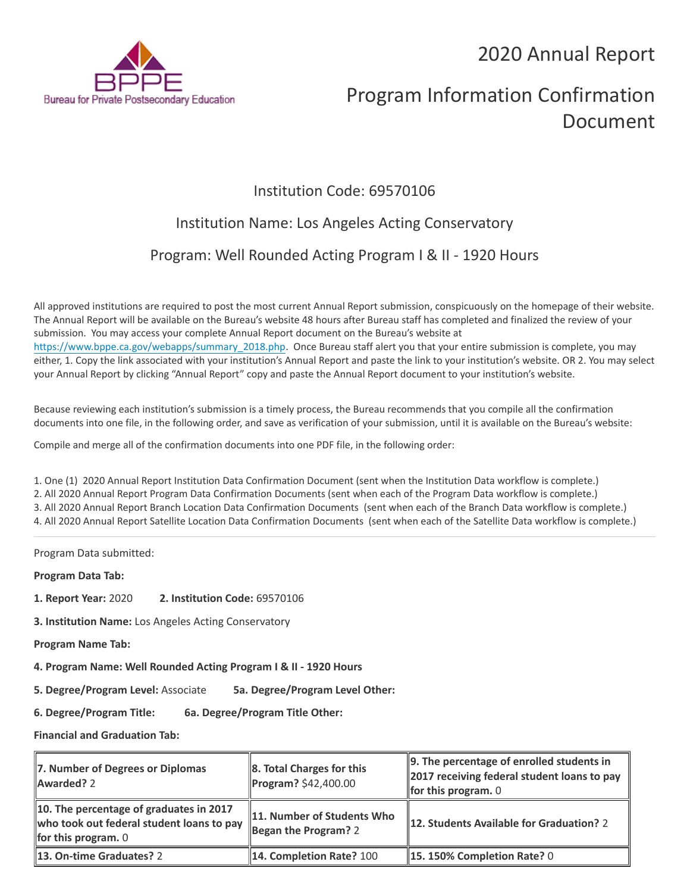2020 Annual Report



# Program Information Confirmation Document

## Institution Code: 69570106

## Institution Name: Los Angeles Acting Conservatory

## Program: Well Rounded Acting Program I & II - 1920 Hours

All approved institutions are required to post the most current Annual Report submission, conspicuously on the homepage of their website. The Annual Report will be available on the Bureau's website 48 hours after Bureau staff has completed and finalized the review of your submission. You may access your complete Annual Report document on the Bureau's website at [https://www.bppe.ca.gov/webapps/summary\\_2018.php.](https://www.bppe.ca.gov/webapps/summary_2018.php) Once Bureau staff alert you that your entire submission is complete, you may either, 1. Copy the link associated with your institution's Annual Report and paste the link to your institution's website. OR 2. You may select your Annual Report by clicking "Annual Report" copy and paste the Annual Report document to your institution's website.

Because reviewing each institution's submission is a timely process, the Bureau recommends that you compile all the confirmation documents into one file, in the following order, and save as verification of your submission, until it is available on the Bureau's website:

Compile and merge all of the confirmation documents into one PDF file, in the following order:

1. One (1) 2020 Annual Report Institution Data Confirmation Document (sent when the Institution Data workflow is complete.) 2. All 2020 Annual Report Program Data Confirmation Documents (sent when each of the Program Data workflow is complete.) 3. All 2020 Annual Report Branch Location Data Confirmation Documents (sent when each of the Branch Data workflow is complete.) 4. All 2020 Annual Report Satellite Location Data Confirmation Documents (sent when each of the Satellite Data workflow is complete.)

Program Data submitted:

**Program Data Tab:**

- **1. Report Year:** 2020 **2. Institution Code:** 69570106
- **3. Institution Name:** Los Angeles Acting Conservatory
- **Program Name Tab:**
- **4. Program Name: Well Rounded Acting Program I & II 1920 Hours**
- **5. Degree/Program Level:** Associate **5a. Degree/Program Level Other:**
- **6. Degree/Program Title: 6a. Degree/Program Title Other:**

**Financial and Graduation Tab:**

| 7. Number of Degrees or Diplomas<br>Awarded? 2                                                                       | $\ 8.$ Total Charges for this<br>$\ $ Program? \$42,400.00 | $\parallel$ 9. The percentage of enrolled students in<br>2017 receiving federal student loans to pay<br>for this program. $0$ |
|----------------------------------------------------------------------------------------------------------------------|------------------------------------------------------------|-------------------------------------------------------------------------------------------------------------------------------|
| 10. The percentage of graduates in 2017<br>who took out federal student loans to pay<br><b>for this program.</b> $0$ | 11. Number of Students Who<br>Began the Program? $2$       | 12. Students Available for Graduation? 2                                                                                      |
| 13. On-time Graduates? 2                                                                                             | <b>14. Completion Rate? 100</b>                            | $\parallel$ 15. 150% Completion Rate? 0                                                                                       |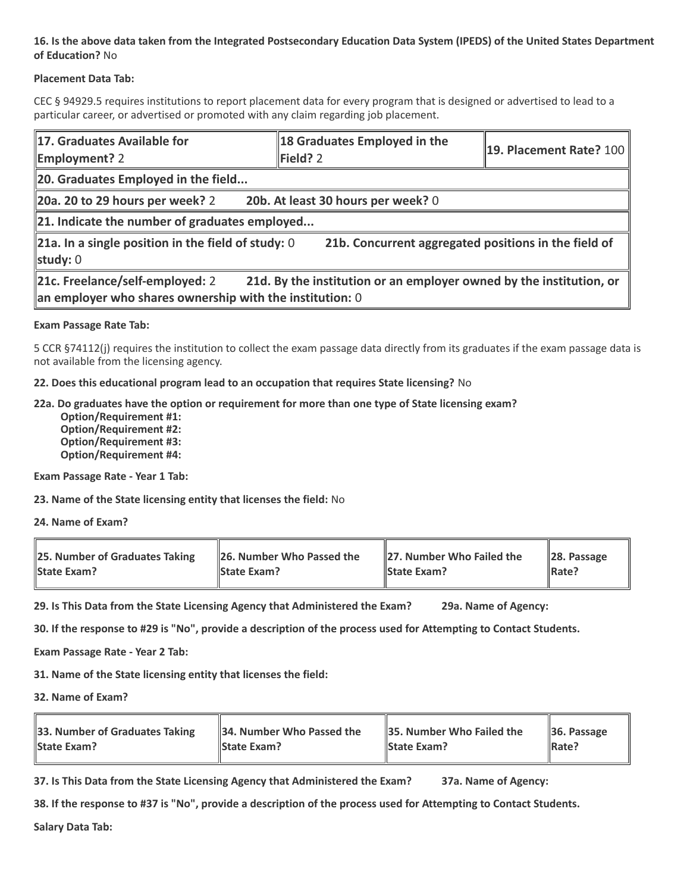#### **16. Is the above data taken from the Integrated Postsecondary Education Data System (IPEDS) of the United States Department of Education?** No

#### **Placement Data Tab:**

CEC § 94929.5 requires institutions to report placement data for every program that is designed or advertised to lead to a particular career, or advertised or promoted with any claim regarding job placement.

| 17. Graduates Available for<br><b>Employment? 2</b>                                                                                                                            | 18 Graduates Employed in the<br>Field? 2 | 19. Placement Rate? 100 |  |  |
|--------------------------------------------------------------------------------------------------------------------------------------------------------------------------------|------------------------------------------|-------------------------|--|--|
| 20. Graduates Employed in the field                                                                                                                                            |                                          |                         |  |  |
| 20a. 20 to 29 hours per week? 2                                                                                                                                                | 20b. At least 30 hours per week? 0       |                         |  |  |
| $\ $ 21. Indicate the number of graduates employed                                                                                                                             |                                          |                         |  |  |
| $\ $ 21a. In a single position in the field of study: 0<br>21b. Concurrent aggregated positions in the field of<br>study: $0$                                                  |                                          |                         |  |  |
| 21c. Freelance/self-employed: 2<br>21d. By the institution or an employer owned by the institution, or<br>$\parallel$ an employer who shares ownership with the institution: 0 |                                          |                         |  |  |

#### **Exam Passage Rate Tab:**

5 CCR §74112(j) requires the institution to collect the exam passage data directly from its graduates if the exam passage data is not available from the licensing agency.

**22. Does this educational program lead to an occupation that requires State licensing?** No

#### **22a. Do graduates have the option or requirement for more than one type of State licensing exam?**

 **Option/Requirement #1: Option/Requirement #2: Option/Requirement #3: Option/Requirement #4:**

**Exam Passage Rate - Year 1 Tab:**

**23. Name of the State licensing entity that licenses the field:** No

**24. Name of Exam?**

| 25. Number of Graduates Taking | 26. Number Who Passed the | 27. Number Who Failed the | $\ 28.$ Passage |
|--------------------------------|---------------------------|---------------------------|-----------------|
| <b>State Exam?</b>             | <b>State Exam?</b>        | <b>State Exam?</b>        | Rate?           |

**29. Is This Data from the State Licensing Agency that Administered the Exam? 29a. Name of Agency:**

**30. If the response to #29 is "No", provide a description of the process used for Attempting to Contact Students.**

**Exam Passage Rate - Year 2 Tab:**

**31. Name of the State licensing entity that licenses the field:**

**32. Name of Exam?**

| 33. Number of Graduates Taking | 34. Number Who Passed the | <b>35. Number Who Failed the</b> | $\parallel$ 36. Passage |
|--------------------------------|---------------------------|----------------------------------|-------------------------|
| <b>State Exam?</b>             | <b>State Exam?</b>        | <b>State Exam?</b>               | $\parallel$ Rate?       |

**37. Is This Data from the State Licensing Agency that Administered the Exam? 37a. Name of Agency:**

**38. If the response to #37 is "No", provide a description of the process used for Attempting to Contact Students.** 

**Salary Data Tab:**